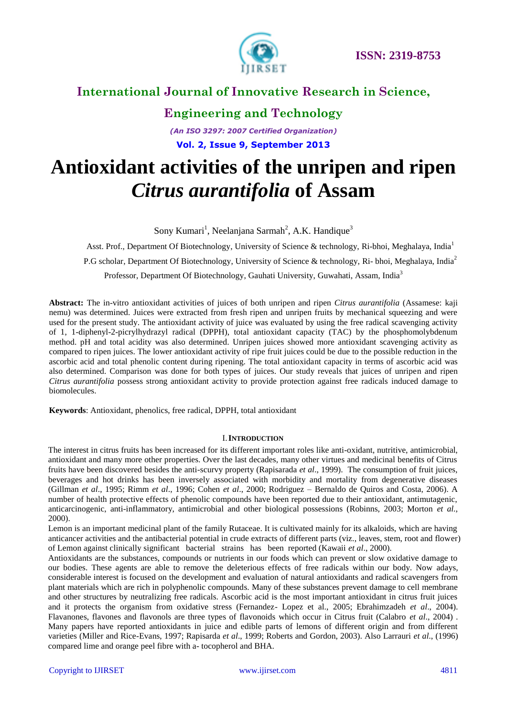

# **Engineering and Technology**

*(An ISO 3297: 2007 Certified Organization)* **Vol. 2, Issue 9, September 2013**

# **Antioxidant activities of the unripen and ripen**  *Citrus aurantifolia* **of Assam**

Sony Kumari<sup>1</sup>, Neelanjana Sarmah<sup>2</sup>, A.K. Handique<sup>3</sup>

Asst. Prof., Department Of Biotechnology, University of Science & technology, Ri-bhoi, Meghalaya, India<sup>1</sup> P.G scholar, Department Of Biotechnology, University of Science & technology, Ri- bhoi, Meghalaya, India<sup>2</sup> Professor, Department Of Biotechnology, Gauhati University, Guwahati, Assam, India<sup>3</sup>

**Abstract:** The in-vitro antioxidant activities of juices of both unripen and ripen *Citrus aurantifolia* (Assamese: kaji nemu) was determined. Juices were extracted from fresh ripen and unripen fruits by mechanical squeezing and were used for the present study. The antioxidant activity of juice was evaluated by using the free radical scavenging activity of 1, 1-diphenyl-2-picrylhydrazyl radical (DPPH), total antioxidant capacity (TAC) by the phosphomolybdenum method. pH and total acidity was also determined. Unripen juices showed more antioxidant scavenging activity as compared to ripen juices. The lower antioxidant activity of ripe fruit juices could be due to the possible reduction in the ascorbic acid and total phenolic content during ripening. The total antioxidant capacity in terms of ascorbic acid was also determined. Comparison was done for both types of juices. Our study reveals that juices of unripen and ripen *Citrus aurantifolia* possess strong antioxidant activity to provide protection against free radicals induced damage to biomolecules.

**Keywords**: Antioxidant, phenolics, free radical, DPPH, total antioxidant

#### I.**INTRODUCTION**

The interest in citrus fruits has been increased for its different important roles like anti-oxidant, nutritive, antimicrobial, antioxidant and many more other properties. Over the last decades, many other virtues and medicinal benefits of Citrus fruits have been discovered besides the anti-scurvy property (Rapisarada *et al*., 1999). The consumption of fruit juices, beverages and hot drinks has been inversely associated with morbidity and mortality from degenerative diseases (Gillman *et al*., 1995; Rimm *et al*., 1996; Cohen *et al*., 2000; Rodriguez – Bernaldo de Quiros and Costa, 2006). A number of health protective effects of phenolic compounds have been reported due to their antioxidant, antimutagenic, anticarcinogenic, anti-inflammatory, antimicrobial and other biological possessions (Robinns, 2003; Morton *et al.*, 2000).

Lemon is an important medicinal plant of the family Rutaceae. It is cultivated mainly for its alkaloids, which are having anticancer activities and the antibacterial potential in crude extracts of different parts (viz., leaves, stem, root and flower) of Lemon against clinically significant bacterial strains has been reported (Kawaii *et al*., 2000).

Antioxidants are the substances, compounds or nutrients in our foods which can prevent or slow oxidative damage to our bodies. These agents are able to remove the deleterious effects of free radicals within our body. Now adays, considerable interest is focused on the development and evaluation of natural antioxidants and radical scavengers from plant materials which are rich in polyphenolic compounds. Many of these substances prevent damage to cell membrane and other structures by neutralizing free radicals. Ascorbic acid is the most important antioxidant in citrus fruit juices and it protects the organism from oxidative stress (Fernandez- Lopez et al., 2005; Ebrahimzadeh *et al*., 2004). Flavanones, flavones and flavonols are three types of flavonoids which occur in Citrus fruit (Calabro *et al*., 2004) . Many papers have reported antioxidants in juice and edible parts of lemons of different origin and from different varieties (Miller and Rice-Evans, 1997; Rapisarda *et al*., 1999; Roberts and Gordon, 2003). Also Larrauri *et al*., (1996) compared lime and orange peel fibre with a- tocopherol and BHA.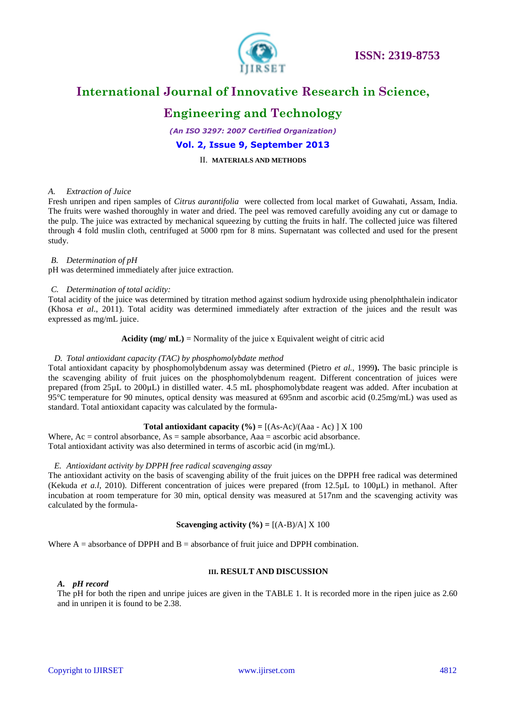

### **Engineering and Technology**

*(An ISO 3297: 2007 Certified Organization)* **Vol. 2, Issue 9, September 2013**

#### II. **MATERIALS AND METHODS**

#### *A. Extraction of Juice*

Fresh unripen and ripen samples of *Citrus aurantifolia* were collected from local market of Guwahati, Assam, India. The fruits were washed thoroughly in water and dried. The peel was removed carefully avoiding any cut or damage to the pulp. The juice was extracted by mechanical squeezing by cutting the fruits in half. The collected juice was filtered through 4 fold muslin cloth, centrifuged at 5000 rpm for 8 mins. Supernatant was collected and used for the present study.

#### *B. Determination of pH*

pH was determined immediately after juice extraction.

#### *C. Determination of total acidity:*

Total acidity of the juice was determined by titration method against sodium hydroxide using phenolphthalein indicator (Khosa *et al*., 2011). Total acidity was determined immediately after extraction of the juices and the result was expressed as mg/mL juice.

#### **Acidity (mg/ mL)** = Normality of the juice x Equivalent weight of citric acid

#### *D. Total antioxidant capacity (TAC) by phosphomolybdate method*

Total antioxidant capacity by phosphomolybdenum assay was determined (Pietro *et al.,* 1999**).** The basic principle is the scavenging ability of fruit juices on the phosphomolybdenum reagent. Different concentration of juices were prepared (from 25µL to 200µL) in distilled water. 4.5 mL phosphomolybdate reagent was added. After incubation at 95°C temperature for 90 minutes, optical density was measured at 695nm and ascorbic acid (0.25mg/mL) was used as standard. Total antioxidant capacity was calculated by the formula-

#### **Total antioxidant capacity**  $(\%) = [(\text{As-Ac})/(\text{Aaa - Ac})] \times 100$

Where, Ac = control absorbance, As = sample absorbance, Aaa = ascorbic acid absorbance. Total antioxidant activity was also determined in terms of ascorbic acid (in mg/mL).

#### *E. Antioxidant activity by DPPH free radical scavenging assay*

The antioxidant activity on the basis of scavenging ability of the fruit juices on the DPPH free radical was determined (Kekuda *et a.l*, 2010). Different concentration of juices were prepared (from 12.5µL to 100µL) in methanol. After incubation at room temperature for 30 min, optical density was measured at 517nm and the scavenging activity was calculated by the formula-

#### **Scavenging activity**  $(\% ) = [(\text{A-B})/\text{A}] \times 100$

Where  $A =$  absorbance of DPPH and  $B =$  absorbance of fruit juice and DPPH combination.

#### **III. RESULT AND DISCUSSION**

#### *A. pH record*

The pH for both the ripen and unripe juices are given in the TABLE 1. It is recorded more in the ripen juice as 2.60 and in unripen it is found to be 2.38.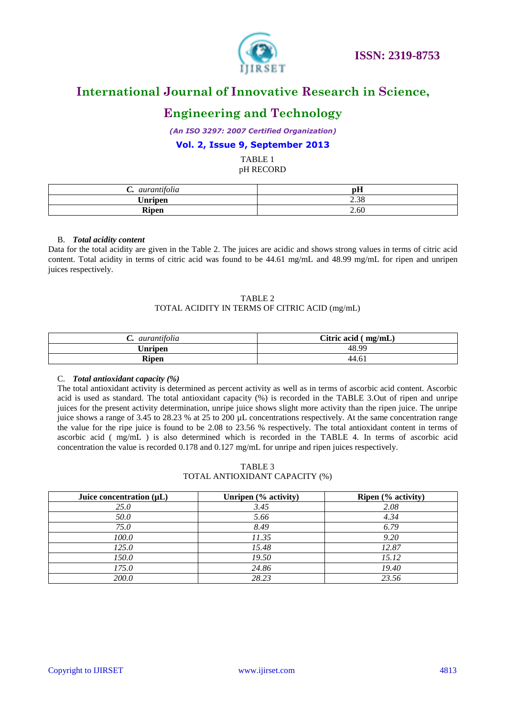

### **Engineering and Technology**

*(An ISO 3297: 2007 Certified Organization)*

#### **Vol. 2, Issue 9, September 2013**

TABLE 1 pH RECORD

| aurantifolia<br>$\ddotsc$ | $-$<br>IJШ |
|---------------------------|------------|
| <b>Unripen</b>            | 2.38       |
| <b>Ripen</b>              | 2.60       |

#### B. *Total acidity content*

Data for the total acidity are given in the Table 2. The juices are acidic and shows strong values in terms of citric acid content. Total acidity in terms of citric acid was found to be 44.61 mg/mL and 48.99 mg/mL for ripen and unripen juices respectively.

#### TABLE 2 TOTAL ACIDITY IN TERMS OF CITRIC ACID (mg/mL)

| aurantifolia<br>ູ | Citric acid<br>mg/mL) |
|-------------------|-----------------------|
| Unripen           | 48.99                 |
| Ripen             | 44.6.                 |

#### C. *Total antioxidant capacity (%)*

The total antioxidant activity is determined as percent activity as well as in terms of ascorbic acid content. Ascorbic acid is used as standard. The total antioxidant capacity (%) is recorded in the TABLE 3.Out of ripen and unripe juices for the present activity determination, unripe juice shows slight more activity than the ripen juice. The unripe juice shows a range of 3.45 to 28.23 % at 25 to 200 µL concentrations respectively. At the same concentration range the value for the ripe juice is found to be 2.08 to 23.56 % respectively. The total antioxidant content in terms of ascorbic acid ( mg/mL ) is also determined which is recorded in the TABLE 4. In terms of ascorbic acid concentration the value is recorded 0.178 and 0.127 mg/mL for unripe and ripen juices respectively.

| TABLE 3                        |  |
|--------------------------------|--|
| TOTAL ANTIOXIDANT CAPACITY (%) |  |

| Juice concentration $(\mu L)$ | Unripen (% activity) | Ripen (% activity) |
|-------------------------------|----------------------|--------------------|
| <i>25.0</i>                   | 3.45                 | 2.08               |
| 50.0                          | 5.66                 | 4.34               |
| 75.0                          | 8.49                 | 6.79               |
| 100.0                         | 11.35                | 9.20               |
| 125.0                         | 15.48                | 12.87              |
| 150.0                         | 19.50                | 15.12              |
| 175.0                         | 24.86                | 19.40              |
| <i>200.0</i>                  | 28.23                | 23.56              |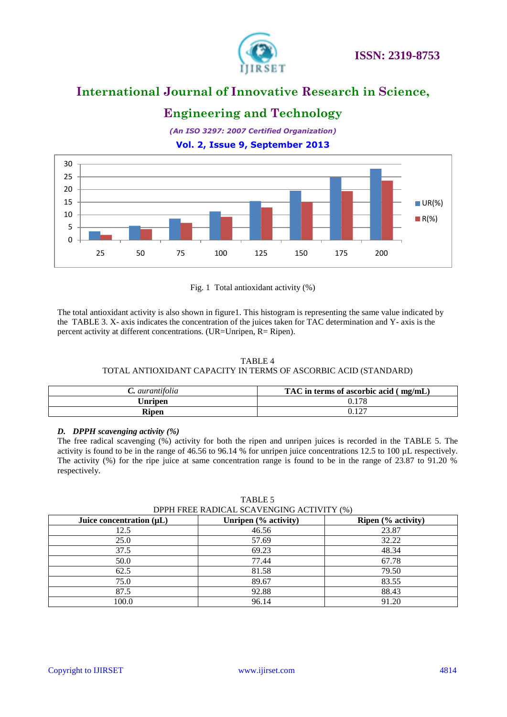

### **Engineering and Technology**

*(An ISO 3297: 2007 Certified Organization)* **Vol. 2, Issue 9, September 2013**



Fig. 1 Total antioxidant activity (%)

The total antioxidant activity is also shown in figure1. This histogram is representing the same value indicated by the TABLE 3. X- axis indicates the concentration of the juices taken for TAC determination and Y- axis is the percent activity at different concentrations. (UR=Unripen, R= Ripen).

#### TABLE 4 TOTAL ANTIOXIDANT CAPACITY IN TERMS OF ASCORBIC ACID (STANDARD)

| $C.$ aurantifolia | TAC in terms of ascorbic acid $\langle$ mg/mL) |  |
|-------------------|------------------------------------------------|--|
| U <b>nripen</b>   | 0.178                                          |  |
| Ripen             | 1 <sub>2</sub>                                 |  |

#### *D. DPPH scavenging activity (%)*

The free radical scavenging (%) activity for both the ripen and unripen juices is recorded in the TABLE 5. The activity is found to be in the range of 46.56 to 96.14 % for unripen juice concentrations 12.5 to 100 µL respectively. The activity (%) for the ripe juice at same concentration range is found to be in the range of 23.87 to 91.20 % respectively.

#### TABLE 5

DPPH FREE RADICAL SCAVENGING ACTIVITY (%)

| Juice concentration $(\mu L)$ | Unripen (% activity) | Ripen (% activity) |
|-------------------------------|----------------------|--------------------|
| 12.5                          | 46.56                | 23.87              |
| 25.0                          | 57.69                | 32.22              |
| 37.5                          | 69.23                | 48.34              |
| 50.0                          | 77.44                | 67.78              |
| 62.5                          | 81.58                | 79.50              |
| 75.0                          | 89.67                | 83.55              |
| 87.5                          | 92.88                | 88.43              |
| 100.0                         | 96.14                | 91.20              |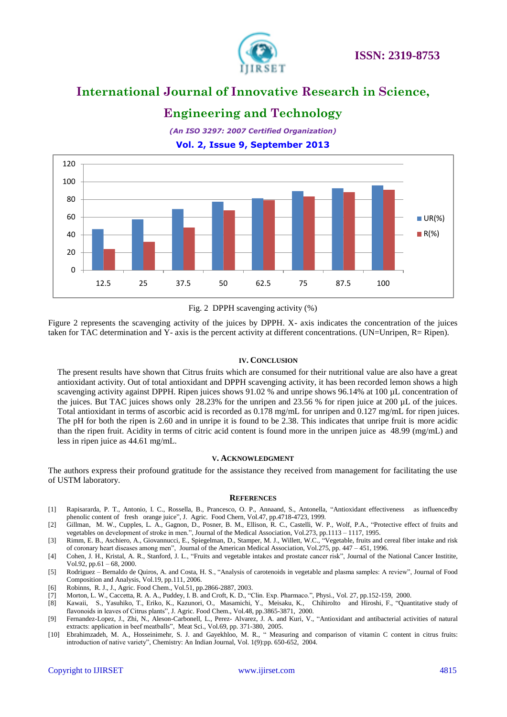

### **Engineering and Technology**

*(An ISO 3297: 2007 Certified Organization)* **Vol. 2, Issue 9, September 2013**



#### Fig. 2 DPPH scavenging activity (%)

Figure 2 represents the scavenging activity of the juices by DPPH. X- axis indicates the concentration of the juices taken for TAC determination and Y- axis is the percent activity at different concentrations. (UN=Unripen, R= Ripen).

#### **IV. CONCLUSION**

The present results have shown that Citrus fruits which are consumed for their nutritional value are also have a great antioxidant activity. Out of total antioxidant and DPPH scavenging activity, it has been recorded lemon shows a high scavenging activity against DPPH. Ripen juices shows 91.02 % and unripe shows 96.14% at 100 µL concentration of the juices. But TAC juices shows only 28.23% for the unripen and 23.56 % for ripen juice at 200 µL of the juices. Total antioxidant in terms of ascorbic acid is recorded as 0.178 mg/mL for unripen and 0.127 mg/mL for ripen juices. The pH for both the ripen is 2.60 and in unripe it is found to be 2.38. This indicates that unripe fruit is more acidic than the ripen fruit. Acidity in terms of citric acid content is found more in the unripen juice as 48.99 (mg/mL) and less in ripen juice as 44.61 mg/mL.

#### **V. ACKNOWLEDGMENT**

The authors express their profound gratitude for the assistance they received from management for facilitating the use of USTM laboratory.

#### **REFERENCES**

- [1] Rapisararda, P. T., Antonio, I. C., Rossella, B., Prancesco, O. P., Annaand, S., Antonella, "Antioxidant effectiveness as influencedby phenolic content of fresh orange juice", J. Agric. Food Chern, Vol.47, pp.4718-4723, 1999.
- [2] Gillman, M. W., Cupples, L. A., Gagnon, D., Posner, B. M., Ellison, R. C., Castelli, W. P., Wolf, P.A., "Protective effect of fruits and vegetables on development of stroke in men.", Journal of the Medical Association, Vol.273, pp.1113 – 1117, 1995.
- [3] Rimm, E. B., Aschiero, A., Giovannucci, E., Spiegelman, D., Stamper, M. J., Willett, W.C., "Vegetable, fruits and cereal fiber intake and risk of coronary heart diseases among men", Journal of the American Medical Association, Vol.275, pp. 447 – 451, 1996.
- [4] Cohen, J. H., Kristal, A. R., Stanford, J. L., "Fruits and vegetable intakes and prostate cancer risk", Journal of the National Cancer Institite, Vol.92, pp.61 – 68, 2000.
- [5] Rodriguez Bernaldo de Quiros, A. and Costa, H. S., "Analysis of carotenoids in vegetable and plasma samples: A review", Journal of Food Composition and Analysis, Vol.19, pp.111, 2006.
- [6] Robinns, R. J., J., Agric. Food Chem., Vol.51, pp.2866-2887, 2003.
- [7] Morton, L. W., Caccetta, R. A. A., Puddey, I. B. and Croft, K. D., "Clin. Exp. Pharmaco.", Physi., Vol. 27, pp.152-159, 2000.
- [8] Kawaii, S., Yasuhiko, T., Eriko, K., Kazunori, O., Masamichi, Y., Meisaku, K., ChihiroIto and Hiroshi, F., "Quantitative study of flavonoids in leaves of Citrus plants", J. Agric. Food Chem., Vol.48, pp.3865-3871, 2000.
- [9] Fernandez-Lopez, J., Zhi, N., Aleson-Carbonell, L., Perez- Alvarez, J. A. and Kuri, V., "Antioxidant and antibacterial activities of natural extracts: application in beef meatballs", Meat Sci., Vol.69, pp. 371-380, 2005.
- [10] Ebrahimzadeh, M. A., Hosseinimehr, S. J. and Gayekhloo, M. R., " Measuring and comparison of vitamin C content in citrus fruits: introduction of native variety", Chemistry: An Indian Journal, Vol. 1(9):pp. 650-652, 2004.